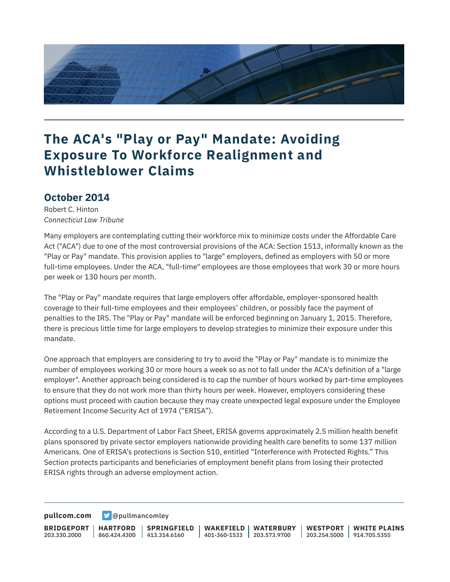

### **The ACA's "Play or Pay" Mandate: Avoiding Exposure To Workforce Realignment and Whistleblower Claims**

#### **October 2014**

Robert C. Hinton *Connecticut Law Tribune*

Many employers are contemplating cutting their workforce mix to minimize costs under the Affordable Care Act ("ACA") due to one of the most controversial provisions of the ACA: Section 1513, informally known as the "Play or Pay" mandate. This provision applies to "large" employers, defined as employers with 50 or more full-time employees. Under the ACA, "full-time" employees are those employees that work 30 or more hours per week or 130 hours per month.

The "Play or Pay" mandate requires that large employers offer affordable, employer-sponsored health coverage to their full-time employees and their employees' children, or possibly face the payment of penalties to the IRS. The "Play or Pay" mandate will be enforced beginning on January 1, 2015. Therefore, there is precious little time for large employers to develop strategies to minimize their exposure under this mandate.

One approach that employers are considering to try to avoid the "Play or Pay" mandate is to minimize the number of employees working 30 or more hours a week so as not to fall under the ACA's definition of a "large employer". Another approach being considered is to cap the number of hours worked by part-time employees to ensure that they do not work more than thirty hours per week. However, employers considering these options must proceed with caution because they may create unexpected legal exposure under the Employee Retirement Income Security Act of 1974 ("ERISA").

According to a U.S. Department of Labor Fact Sheet, ERISA governs approximately 2.5 million health benefit plans sponsored by private sector employers nationwide providing health care benefits to some 137 million Americans. One of ERISA's protections is Section 510, entitled "Interference with Protected Rights." This Section protects participants and beneficiaries of employment benefit plans from losing their protected ERISA rights through an adverse employment action.

**[pullcom.com](https://www.pullcom.com) g** [@pullmancomley](https://twitter.com/PullmanComley)

**BRIDGEPORT** 203.330.2000 **HARTFORD** 860.424.4300 413.314.6160 **SPRINGFIELD WAKEFIELD** 401-360-1533 203.573.9700 **WATERBURY WESTPORT** 203.254.5000 914.705.5355 **WHITE PLAINS**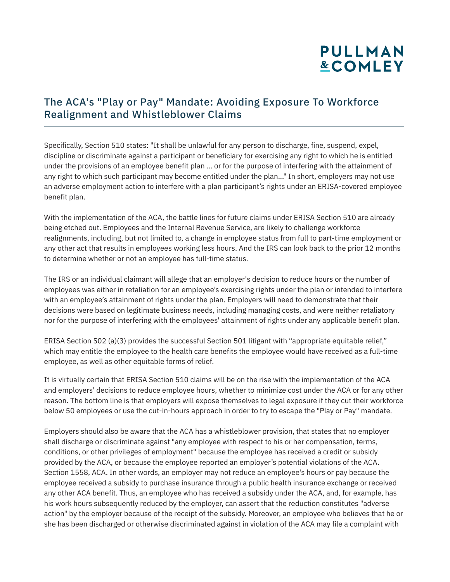# **PULLMAN &COMLEY**

### The ACA's "Play or Pay" Mandate: Avoiding Exposure To Workforce Realignment and Whistleblower Claims

Specifically, Section 510 states: "It shall be unlawful for any person to discharge, fine, suspend, expel, discipline or discriminate against a participant or beneficiary for exercising any right to which he is entitled under the provisions of an employee benefit plan ... or for the purpose of interfering with the attainment of any right to which such participant may become entitled under the plan..." In short, employers may not use an adverse employment action to interfere with a plan participant's rights under an ERISA-covered employee benefit plan.

With the implementation of the ACA, the battle lines for future claims under ERISA Section 510 are already being etched out. Employees and the Internal Revenue Service, are likely to challenge workforce realignments, including, but not limited to, a change in employee status from full to part-time employment or any other act that results in employees working less hours. And the IRS can look back to the prior 12 months to determine whether or not an employee has full-time status.

The IRS or an individual claimant will allege that an employer's decision to reduce hours or the number of employees was either in retaliation for an employee's exercising rights under the plan or intended to interfere with an employee's attainment of rights under the plan. Employers will need to demonstrate that their decisions were based on legitimate business needs, including managing costs, and were neither retaliatory nor for the purpose of interfering with the employees' attainment of rights under any applicable benefit plan.

ERISA Section 502 (a)(3) provides the successful Section 501 litigant with "appropriate equitable relief," which may entitle the employee to the health care benefits the employee would have received as a full-time employee, as well as other equitable forms of relief.

It is virtually certain that ERISA Section 510 claims will be on the rise with the implementation of the ACA and employers' decisions to reduce employee hours, whether to minimize cost under the ACA or for any other reason. The bottom line is that employers will expose themselves to legal exposure if they cut their workforce below 50 employees or use the cut-in-hours approach in order to try to escape the "Play or Pay" mandate.

Employers should also be aware that the ACA has a whistleblower provision, that states that no employer shall discharge or discriminate against "any employee with respect to his or her compensation, terms, conditions, or other privileges of employment" because the employee has received a credit or subsidy provided by the ACA, or because the employee reported an employer's potential violations of the ACA. Section 1558, ACA. In other words, an employer may not reduce an employee's hours or pay because the employee received a subsidy to purchase insurance through a public health insurance exchange or received any other ACA benefit. Thus, an employee who has received a subsidy under the ACA, and, for example, has his work hours subsequently reduced by the employer, can assert that the reduction constitutes "adverse action" by the employer because of the receipt of the subsidy. Moreover, an employee who believes that he or she has been discharged or otherwise discriminated against in violation of the ACA may file a complaint with